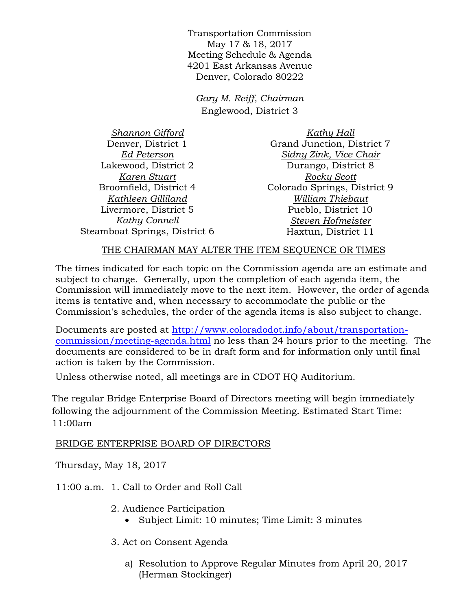Transportation Commission May 17 & 18, 2017 Meeting Schedule & Agenda 4201 East Arkansas Avenue Denver, Colorado 80222

*Gary M. Reiff, Chairman* Englewood, District 3

*Shannon Gifford* Denver, District 1 *Ed Peterson* Lakewood, District 2 *Karen Stuart* Broomfield, District 4 *Kathleen Gilliland* Livermore, District 5 *Kathy Connell* Steamboat Springs, District 6

*Kathy Hall* Grand Junction, District 7 *Sidny Zink, Vice Chair* Durango, District 8 *Rocky Scott* Colorado Springs, District 9 *William Thiebaut* Pueblo, District 10 *Steven Hofmeister* Haxtun, District 11

## THE CHAIRMAN MAY ALTER THE ITEM SEQUENCE OR TIMES

The times indicated for each topic on the Commission agenda are an estimate and subject to change. Generally, upon the completion of each agenda item, the Commission will immediately move to the next item. However, the order of agenda items is tentative and, when necessary to accommodate the public or the Commission's schedules, the order of the agenda items is also subject to change.

Documents are posted at http://www.coloradodot.info/about/transportationcommission/meeting-agenda.html no less than 24 hours prior to the meeting. The documents are considered to be in draft form and for information only until final action is taken by the Commission.

Unless otherwise noted, all meetings are in CDOT HQ Auditorium.

The regular Bridge Enterprise Board of Directors meeting will begin immediately following the adjournment of the Commission Meeting. Estimated Start Time: 11:00am

## BRIDGE ENTERPRISE BOARD OF DIRECTORS

Thursday, May 18, 2017

11:00 a.m. 1. Call to Order and Roll Call

- 2. Audience Participation
	- Subject Limit: 10 minutes; Time Limit: 3 minutes
- 3. Act on Consent Agenda
	- a) Resolution to Approve Regular Minutes from April 20, 2017 (Herman Stockinger)